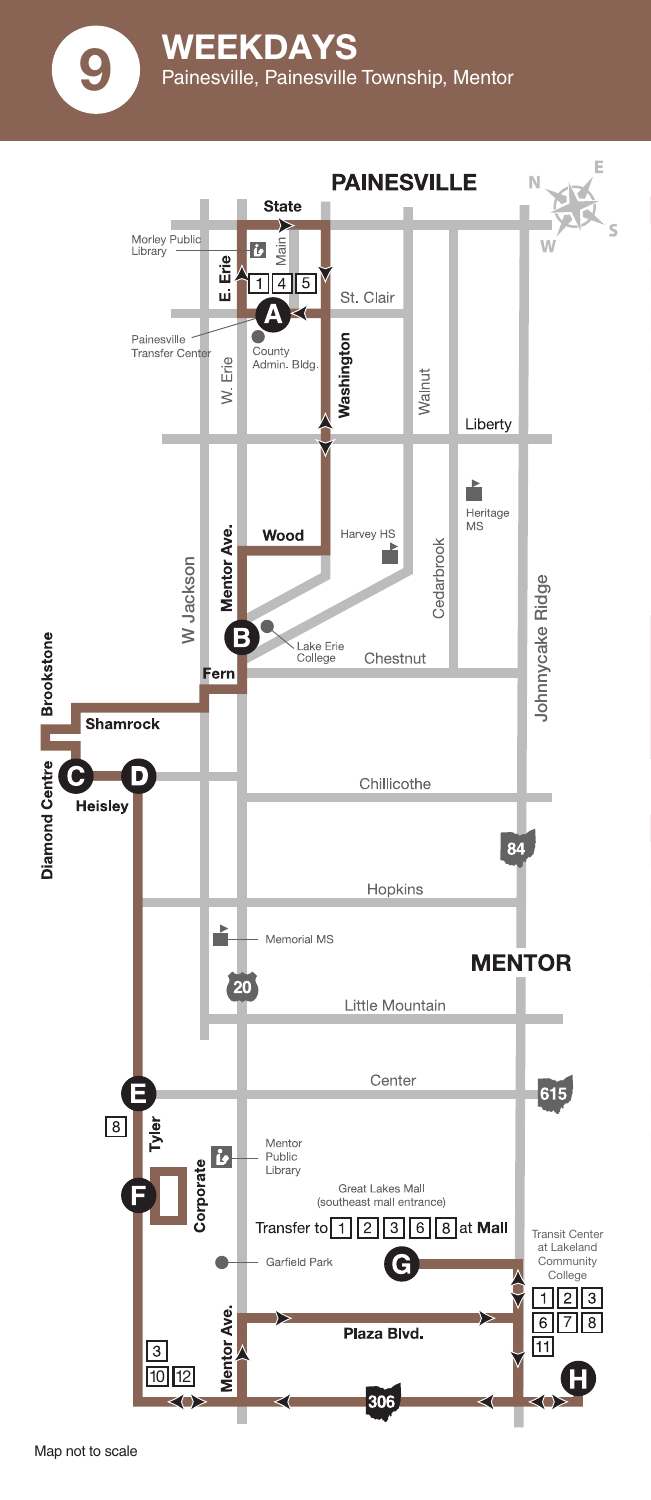9